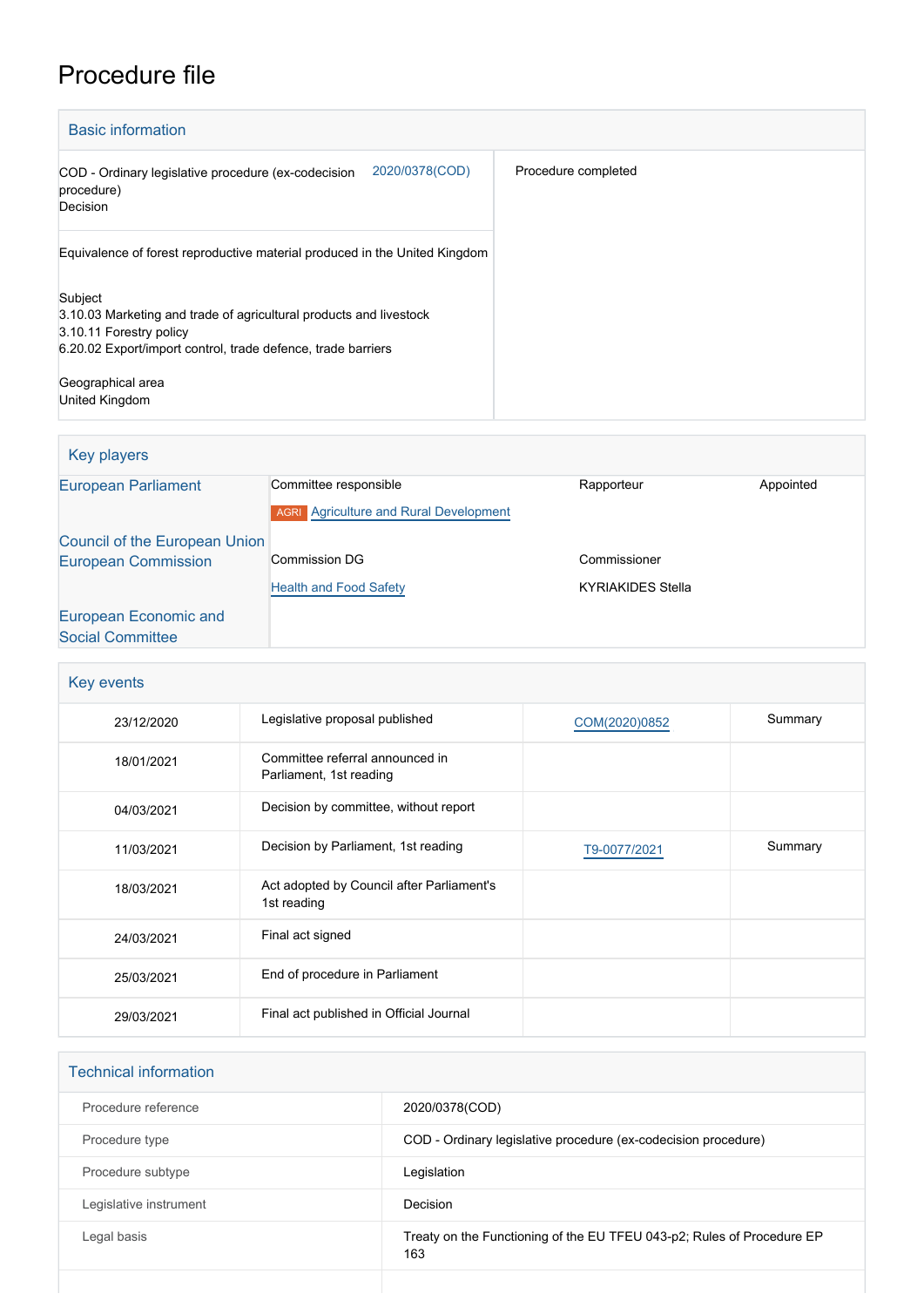# Procedure file

| <b>Basic information</b>                                                                                                                                                                      |                     |
|-----------------------------------------------------------------------------------------------------------------------------------------------------------------------------------------------|---------------------|
| 2020/0378(COD)<br>COD - Ordinary legislative procedure (ex-codecision<br>procedure)<br>Decision                                                                                               | Procedure completed |
| Equivalence of forest reproductive material produced in the United Kingdom                                                                                                                    |                     |
| Subject<br>3.10.03 Marketing and trade of agricultural products and livestock<br>3.10.11 Forestry policy<br>6.20.02 Export/import control, trade defence, trade barriers<br>Geographical area |                     |
| United Kingdom                                                                                                                                                                                |                     |

## Key players [European Parliament](http://www.europarl.europa.eu/) Committee responsible Rapporteur Rapporteur Appointed **AGRI** [Agriculture and Rural Development](http://www.europarl.europa.eu/committees/en/agri/home.html) [Council of the European Union](http://www.consilium.europa.eu) [European Commission](http://ec.europa.eu/) Commission DG **[Health and Food Safety](http://ec.europa.eu/info/departments/health-and-food-safety_en)** Commissioner KYRIAKIDES Stella [European Economic and](http://www.eesc.europa.eu/) [Social Committee](http://www.eesc.europa.eu/)

| Key events |                                                            |               |         |  |  |
|------------|------------------------------------------------------------|---------------|---------|--|--|
| 23/12/2020 | Legislative proposal published                             | COM(2020)0852 | Summary |  |  |
| 18/01/2021 | Committee referral announced in<br>Parliament, 1st reading |               |         |  |  |
| 04/03/2021 | Decision by committee, without report                      |               |         |  |  |
| 11/03/2021 | Decision by Parliament, 1st reading                        | T9-0077/2021  | Summary |  |  |
| 18/03/2021 | Act adopted by Council after Parliament's<br>1st reading   |               |         |  |  |
| 24/03/2021 | Final act signed                                           |               |         |  |  |
| 25/03/2021 | End of procedure in Parliament                             |               |         |  |  |
| 29/03/2021 | Final act published in Official Journal                    |               |         |  |  |

| <b>Technical information</b> |                                                                               |
|------------------------------|-------------------------------------------------------------------------------|
| Procedure reference          | 2020/0378(COD)                                                                |
| Procedure type               | COD - Ordinary legislative procedure (ex-codecision procedure)                |
| Procedure subtype            | Legislation                                                                   |
| Legislative instrument       | Decision                                                                      |
| Legal basis                  | Treaty on the Functioning of the EU TFEU 043-p2; Rules of Procedure EP<br>163 |
|                              |                                                                               |